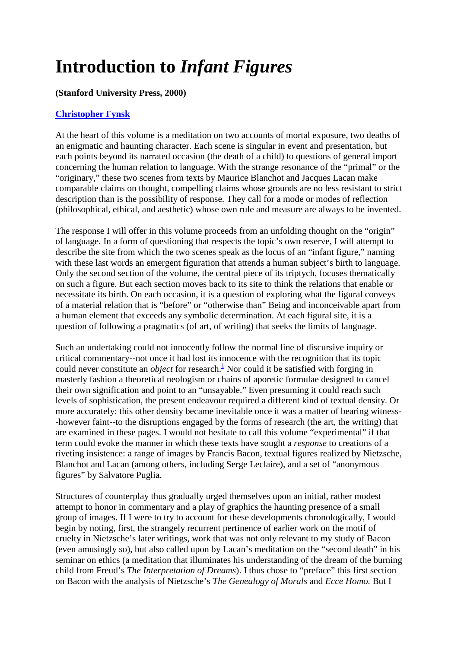## **Introduction to** *Infant Figures*

## **(Stanford University Press, 2000)**

## **Christopher Fynsk**

At the heart of this volume is a meditation on two accounts of mortal exposure, two deaths of an enigmatic and haunting character. Each scene is singular in event and presentation, but each points beyond its narrated occasion (the death of a child) to questions of general import concerning the human relation to language. With the strange resonance of the "primal" or the "originary," these two scenes from texts by Maurice Blanchot and Jacques Lacan make comparable claims on thought, compelling claims whose grounds are no less resistant to strict description than is the possibility of response. They call for a mode or modes of reflection (philosophical, ethical, and aesthetic) whose own rule and measure are always to be invented.

The response I will offer in this volume proceeds from an unfolding thought on the "origin" of language. In a form of questioning that respects the topic's own reserve, I will attempt to describe the site from which the two scenes speak as the locus of an "infant figure," naming with these last words an emergent figuration that attends a human subject's birth to language. Only the second section of the volume, the central piece of its triptych, focuses thematically on such a figure. But each section moves back to its site to think the relations that enable or necessitate its birth. On each occasion, it is a question of exploring what the figural conveys of a material relation that is "before" or "otherwise than" Being and inconceivable apart from a human element that exceeds any symbolic determination. At each figural site, it is a question of following a pragmatics (of art, of writing) that seeks the limits of language.

Such an undertaking could not innocently follow the normal line of discursive inquiry or critical commentary--not once it had lost its innocence with the recognition that its topic could never constitute an *object* for research.<sup>1</sup> Nor could it be satisfied with forging in masterly fashion a theoretical neologism or chains of aporetic formulae designed to cancel their own signification and point to an "unsayable." Even presuming it could reach such levels of sophistication, the present endeavour required a different kind of textual density. Or more accurately: this other density became inevitable once it was a matter of bearing witness- -however faint--to the disruptions engaged by the forms of research (the art, the writing) that are examined in these pages. I would not hesitate to call this volume "experimental" if that term could evoke the manner in which these texts have sought a *response* to creations of a riveting insistence: a range of images by Francis Bacon, textual figures realized by Nietzsche, Blanchot and Lacan (among others, including Serge Leclaire), and a set of "anonymous figures" by Salvatore Puglia.

Structures of counterplay thus gradually urged themselves upon an initial, rather modest attempt to honor in commentary and a play of graphics the haunting presence of a small group of images. If I were to try to account for these developments chronologically, I would begin by noting, first, the strangely recurrent pertinence of earlier work on the motif of cruelty in Nietzsche's later writings, work that was not only relevant to my study of Bacon (even amusingly so), but also called upon by Lacan's meditation on the "second death" in his seminar on ethics (a meditation that illuminates his understanding of the dream of the burning child from Freud's *The Interpretation of Dreams*). I thus chose to "preface" this first section on Bacon with the analysis of Nietzsche's *The Genealogy of Morals* and *Ecce Homo.* But I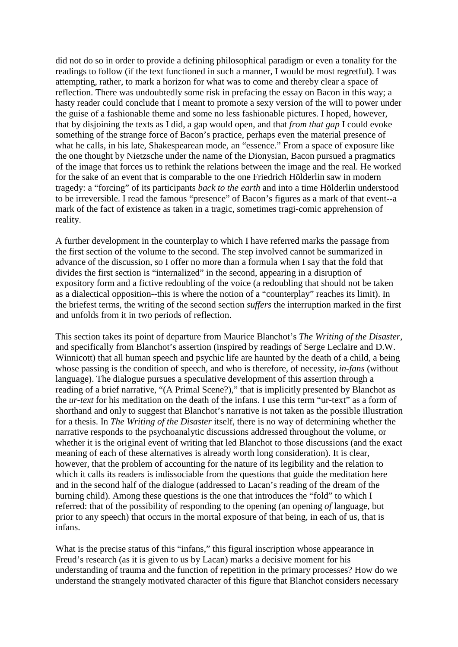did not do so in order to provide a defining philosophical paradigm or even a tonality for the readings to follow (if the text functioned in such a manner, I would be most regretful). I was attempting, rather, to mark a horizon for what was to come and thereby clear a space of reflection. There was undoubtedly some risk in prefacing the essay on Bacon in this way; a hasty reader could conclude that I meant to promote a sexy version of the will to power under the guise of a fashionable theme and some no less fashionable pictures. I hoped, however, that by disjoining the texts as I did, a gap would open, and that *from that gap* I could evoke something of the strange force of Bacon's practice, perhaps even the material presence of what he calls, in his late, Shakespearean mode, an "essence." From a space of exposure like the one thought by Nietzsche under the name of the Dionysian, Bacon pursued a pragmatics of the image that forces us to rethink the relations between the image and the real. He worked for the sake of an event that is comparable to the one Friedrich Hölderlin saw in modern tragedy: a "forcing" of its participants *back to the earth* and into a time Hölderlin understood to be irreversible. I read the famous "presence" of Bacon's figures as a mark of that event--a mark of the fact of existence as taken in a tragic, sometimes tragi-comic apprehension of reality.

A further development in the counterplay to which I have referred marks the passage from the first section of the volume to the second. The step involved cannot be summarized in advance of the discussion, so I offer no more than a formula when I say that the fold that divides the first section is "internalized" in the second, appearing in a disruption of expository form and a fictive redoubling of the voice (a redoubling that should not be taken as a dialectical opposition--this is where the notion of a "counterplay" reaches its limit). In the briefest terms, the writing of the second section *suffers* the interruption marked in the first and unfolds from it in two periods of reflection.

This section takes its point of departure from Maurice Blanchot's *The Writing of the Disaster*, and specifically from Blanchot's assertion (inspired by readings of Serge Leclaire and D.W. Winnicott) that all human speech and psychic life are haunted by the death of a child, a being whose passing is the condition of speech, and who is therefore, of necessity, *in-fans* (without language). The dialogue pursues a speculative development of this assertion through a reading of a brief narrative, "(A Primal Scene?)," that is implicitly presented by Blanchot as the *ur-text* for his meditation on the death of the infans. I use this term "ur-text" as a form of shorthand and only to suggest that Blanchot's narrative is not taken as the possible illustration for a thesis. In *The Writing of the Disaster* itself, there is no way of determining whether the narrative responds to the psychoanalytic discussions addressed throughout the volume, or whether it is the original event of writing that led Blanchot to those discussions (and the exact meaning of each of these alternatives is already worth long consideration). It is clear, however, that the problem of accounting for the nature of its legibility and the relation to which it calls its readers is indissociable from the questions that guide the meditation here and in the second half of the dialogue (addressed to Lacan's reading of the dream of the burning child). Among these questions is the one that introduces the "fold" to which I referred: that of the possibility of responding to the opening (an opening *of* language, but prior to any speech) that occurs in the mortal exposure of that being, in each of us, that is infans.

What is the precise status of this "infans," this figural inscription whose appearance in Freud's research (as it is given to us by Lacan) marks a decisive moment for his understanding of trauma and the function of repetition in the primary processes? How do we understand the strangely motivated character of this figure that Blanchot considers necessary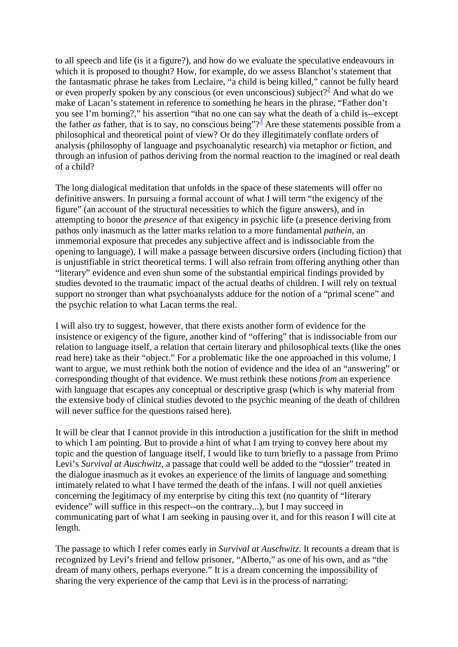to all speech and life (is it a figure?), and how do we evaluate the speculative endeavours in which it is proposed to thought? How, for example, do we assess Blanchot's statement that the fantasmatic phrase he takes from Leclaire, "a child is being killed," cannot be fully heard or even properly spoken by any conscious (or even unconscious) subject?<sup>2</sup> And what do we make of Lacan's statement in reference to something he hears in the phrase, "Father don't you see I'm burning?," his assertion "that no one can say what the death of a child is--except the father *as* father, that is to say, no conscious being"?<sup>3</sup> Are these statements possible from a philosophical and theoretical point of view? Or do they illegitimately conflate orders of analysis (philosophy of language and psychoanalytic research) via metaphor or fiction, and through an infusion of pathos deriving from the normal reaction to the imagined or real death of a child?

The long dialogical meditation that unfolds in the space of these statements will offer no definitive answers. In pursuing a formal account of what I will term "the exigency of the figure" (an account of the structural necessities to which the figure answers), and in attempting to honor the *presence* of that exigency in psychic life (a presence deriving from pathos only inasmuch as the latter marks relation to a more fundamental *pathein*, an immemorial exposure that precedes any subjective affect and is indissociable from the opening to language), I will make a passage between discursive orders (including fiction) that is unjustifiable in strict theoretical terms. I will also refrain from offering anything other than "literary" evidence and even shun some of the substantial empirical findings provided by studies devoted to the traumatic impact of the actual deaths of children. I will rely on textual support no stronger than what psychoanalysts adduce for the notion of a "primal scene" and the psychic relation to what Lacan terms the real.

I will also try to suggest, however, that there exists another form of evidence for the insistence or exigency of the figure, another kind of "offering" that is indissociable from our relation to language itself, a relation that certain literary and philosophical texts (like the ones read here) take as their "object." For a problematic like the one approached in this volume, I want to argue, we must rethink both the notion of evidence and the idea of an "answering" or corresponding thought of that evidence. We must rethink these notions *from* an experience with language that escapes any conceptual or descriptive grasp (which is why material from the extensive body of clinical studies devoted to the psychic meaning of the death of children will never suffice for the questions raised here).

It will be clear that I cannot provide in this introduction a justification for the shift in method to which I am pointing. But to provide a hint of what I am trying to convey here about my topic and the question of language itself, I would like to turn briefly to a passage from Primo Levi's *Survival at Auschwitz*, a passage that could well be added to the "dossier" treated in the dialogue inasmuch as it evokes an experience of the limits of language and something intimately related to what I have termed the death of the infans. I will not quell anxieties concerning the legitimacy of my enterprise by citing this text (no quantity of "literary evidence" will suffice in this respect--on the contrary...), but I may succeed in communicating part of what I am seeking in pausing over it, and for this reason I will cite at length.

The passage to which I refer comes early in *Survival at Auschwitz*. It recounts a dream that is recognized by Levi's friend and fellow prisoner, "Alberto," as one of his own, and as "the dream of many others, perhaps everyone." It is a dream concerning the impossibility of sharing the very experience of the camp that Levi is in the process of narrating: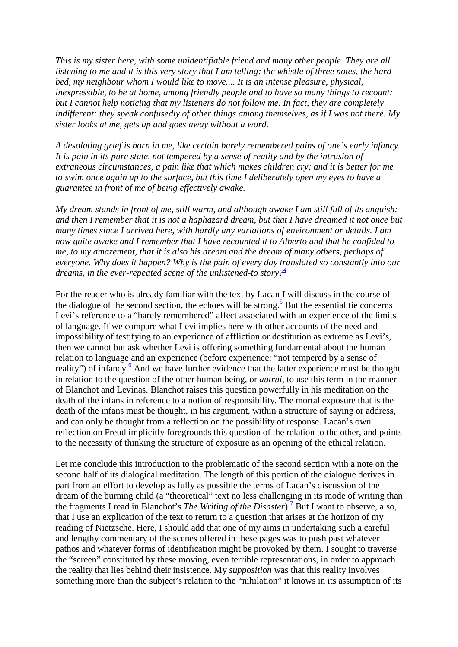*This is my sister here, with some unidentifiable friend and many other people. They are all listening to me and it is this very story that I am telling: the whistle of three notes, the hard bed, my neighbour whom I would like to move.... It is an intense pleasure, physical, inexpressible, to be at home, among friendly people and to have so many things to recount: but I cannot help noticing that my listeners do not follow me. In fact, they are completely indifferent: they speak confusedly of other things among themselves, as if I was not there. My sister looks at me, gets up and goes away without a word.*

*A desolating grief is born in me, like certain barely remembered pains of one's early infancy. It is pain in its pure state, not tempered by a sense of reality and by the intrusion of extraneous circumstances, a pain like that which makes children cry; and it is better for me to swim once again up to the surface, but this time I deliberately open my eyes to have a guarantee in front of me of being effectively awake.* 

*My dream stands in front of me, still warm, and although awake I am still full of its anguish: and then I remember that it is not a haphazard dream, but that I have dreamed it not once but many times since I arrived here, with hardly any variations of environment or details. I am now quite awake and I remember that I have recounted it to Alberto and that he confided to me, to my amazement, that it is also his dream and the dream of many others, perhaps of everyone. Why does it happen? Why is the pain of every day translated so constantly into our dreams, in the ever-repeated scene of the unlistened-to story?<sup>4</sup>*

For the reader who is already familiar with the text by Lacan I will discuss in the course of the dialogue of the second section, the echoes will be strong.<sup>5</sup> But the essential tie concerns Levi's reference to a "barely remembered" affect associated with an experience of the limits of language. If we compare what Levi implies here with other accounts of the need and impossibility of testifying to an experience of affliction or destitution as extreme as Levi's, then we cannot but ask whether Levi is offering something fundamental about the human relation to language and an experience (before experience: "not tempered by a sense of reality") of infancy.<sup>6</sup> And we have further evidence that the latter experience must be thought in relation to the question of the other human being, or *autrui*, to use this term in the manner of Blanchot and Levinas. Blanchot raises this question powerfully in his meditation on the death of the infans in reference to a notion of responsibility. The mortal exposure that is the death of the infans must be thought, in his argument, within a structure of saying or address, and can only be thought from a reflection on the possibility of response. Lacan's own reflection on Freud implicitly foregrounds this question of the relation to the other, and points to the necessity of thinking the structure of exposure as an opening of the ethical relation.

Let me conclude this introduction to the problematic of the second section with a note on the second half of its dialogical meditation. The length of this portion of the dialogue derives in part from an effort to develop as fully as possible the terms of Lacan's discussion of the dream of the burning child (a "theoretical" text no less challenging in its mode of writing than the fragments I read in Blanchot's *The Writing of the Disaster*).<sup>7</sup> But I want to observe, also, that I use an explication of the text to return to a question that arises at the horizon of my reading of Nietzsche. Here, I should add that *o*ne of my aims in undertaking such a careful and lengthy commentary of the scenes offered in these pages was to push past whatever pathos and whatever forms of identification might be provoked by them. I sought to traverse the "screen" constituted by these moving, even terrible representations, in order to approach the reality that lies behind their insistence. My *supposition* was that this reality involves something more than the subject's relation to the "nihilation" it knows in its assumption of its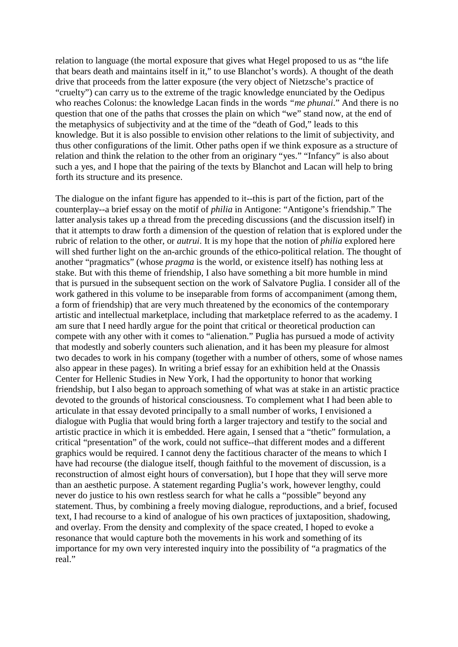relation to language (the mortal exposure that gives what Hegel proposed to us as "the life that bears death and maintains itself in it," to use Blanchot's words). A thought of the death drive that proceeds from the latter exposure (the very object of Nietzsche's practice of "cruelty") can carry us to the extreme of the tragic knowledge enunciated by the Oedipus who reaches Colonus: the knowledge Lacan finds in the words *"me phunai*." And there is no question that one of the paths that crosses the plain on which "we" stand now, at the end of the metaphysics of subjectivity and at the time of the "death of God," leads to this knowledge. But it is also possible to envision other relations to the limit of subjectivity, and thus other configurations of the limit. Other paths open if we think exposure as a structure of relation and think the relation to the other from an originary "yes." "Infancy" is also about such a yes, and I hope that the pairing of the texts by Blanchot and Lacan will help to bring forth its structure and its presence.

The dialogue on the infant figure has appended to it--this is part of the fiction, part of the counterplay--a brief essay on the motif of *philia* in Antigone: "Antigone's friendship." The latter analysis takes up a thread from the preceding discussions (and the discussion itself) in that it attempts to draw forth a dimension of the question of relation that is explored under the rubric of relation to the other, or *autrui*. It is my hope that the notion of *philia* explored here will shed further light on the an-archic grounds of the ethico-political relation. The thought of another "pragmatics" (whose *pragma* is the world, or existence itself) has nothing less at stake. But with this theme of friendship, I also have something a bit more humble in mind that is pursued in the subsequent section on the work of Salvatore Puglia. I consider all of the work gathered in this volume to be inseparable from forms of accompaniment (among them, a form of friendship) that are very much threatened by the economics of the contemporary artistic and intellectual marketplace, including that marketplace referred to as the academy. I am sure that I need hardly argue for the point that critical or theoretical production can compete with any other with it comes to "alienation." Puglia has pursued a mode of activity that modestly and soberly counters such alienation, and it has been my pleasure for almost two decades to work in his company (together with a number of others, some of whose names also appear in these pages). In writing a brief essay for an exhibition held at the Onassis Center for Hellenic Studies in New York, I had the opportunity to honor that working friendship, but I also began to approach something of what was at stake in an artistic practice devoted to the grounds of historical consciousness. To complement what I had been able to articulate in that essay devoted principally to a small number of works, I envisioned a dialogue with Puglia that would bring forth a larger trajectory and testify to the social and artistic practice in which it is embedded. Here again, I sensed that a "thetic" formulation, a critical "presentation" of the work, could not suffice--that different modes and a different graphics would be required. I cannot deny the factitious character of the means to which I have had recourse (the dialogue itself, though faithful to the movement of discussion, is a reconstruction of almost eight hours of conversation), but I hope that they will serve more than an aesthetic purpose. A statement regarding Puglia's work, however lengthy, could never do justice to his own restless search for what he calls a "possible" beyond any statement. Thus, by combining a freely moving dialogue, reproductions, and a brief, focused text, I had recourse to a kind of analogue of his own practices of juxtaposition, shadowing, and overlay. From the density and complexity of the space created, I hoped to evoke a resonance that would capture both the movements in his work and something of its importance for my own very interested inquiry into the possibility of "a pragmatics of the real."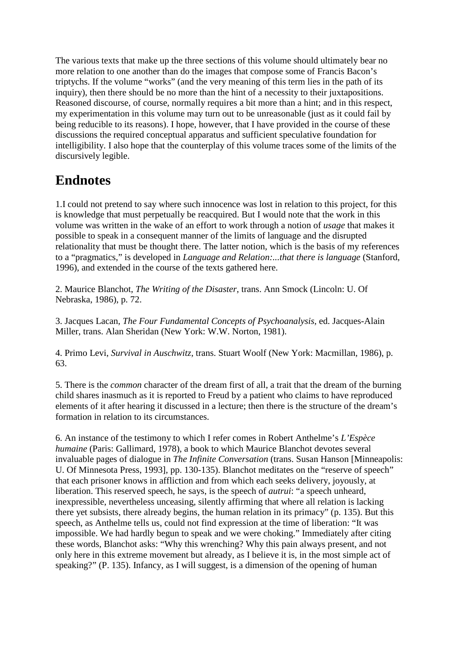The various texts that make up the three sections of this volume should ultimately bear no more relation to one another than do the images that compose some of Francis Bacon's triptychs. If the volume "works" (and the very meaning of this term lies in the path of its inquiry), then there should be no more than the hint of a necessity to their juxtapositions. Reasoned discourse, of course, normally requires a bit more than a hint; and in this respect, my experimentation in this volume may turn out to be unreasonable (just as it could fail by being reducible to its reasons). I hope, however, that I have provided in the course of these discussions the required conceptual apparatus and sufficient speculative foundation for intelligibility. I also hope that the counterplay of this volume traces some of the limits of the discursively legible.

## **Endnotes**

1.I could not pretend to say where such innocence was lost in relation to this project, for this is knowledge that must perpetually be reacquired. But I would note that the work in this volume was written in the wake of an effort to work through a notion of *usage* that makes it possible to speak in a consequent manner of the limits of language and the disrupted relationality that must be thought there. The latter notion, which is the basis of my references to a "pragmatics," is developed in *Language and Relation:...that there is language* (Stanford, 1996), and extended in the course of the texts gathered here.

2. Maurice Blanchot, *The Writing of the Disaster*, trans. Ann Smock (Lincoln: U. Of Nebraska, 1986), p. 72.

3. Jacques Lacan, *The Four Fundamental Concepts of Psychoanalysis*, ed. Jacques-Alain Miller, trans. Alan Sheridan (New York: W.W. Norton, 1981).

4. Primo Levi, *Survival in Auschwitz*, trans. Stuart Woolf (New York: Macmillan, 1986), p. 63.

5. There is the *common* character of the dream first of all, a trait that the dream of the burning child shares inasmuch as it is reported to Freud by a patient who claims to have reproduced elements of it after hearing it discussed in a lecture; then there is the structure of the dream's formation in relation to its circumstances.

6. An instance of the testimony to which I refer comes in Robert Anthelme's *L'Espèce humaine* (Paris: Gallimard, 1978), a book to which Maurice Blanchot devotes several invaluable pages of dialogue in *The Infinite Conversation* (trans. Susan Hanson [Minneapolis: U. Of Minnesota Press, 1993], pp. 130-135). Blanchot meditates on the "reserve of speech" that each prisoner knows in affliction and from which each seeks delivery, joyously, at liberation. This reserved speech, he says, is the speech of *autrui*: "a speech unheard, inexpressible, nevertheless unceasing, silently affirming that where all relation is lacking there yet subsists, there already begins, the human relation in its primacy" (p. 135). But this speech, as Anthelme tells us, could not find expression at the time of liberation: "It was impossible. We had hardly begun to speak and we were choking." Immediately after citing these words, Blanchot asks: "Why this wrenching? Why this pain always present, and not only here in this extreme movement but already, as I believe it is, in the most simple act of speaking?" (P. 135). Infancy, as I will suggest, is a dimension of the opening of human